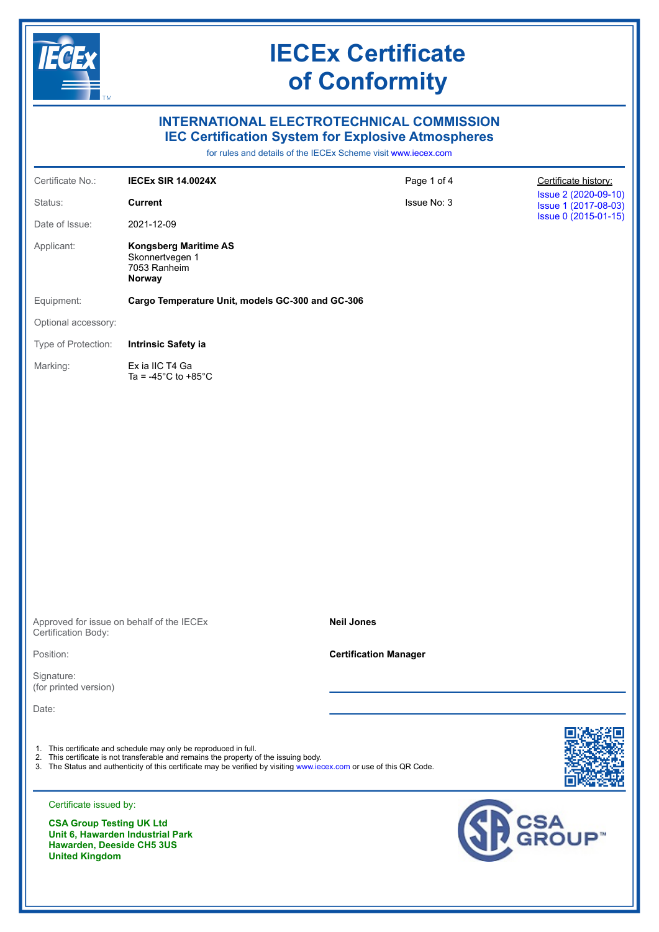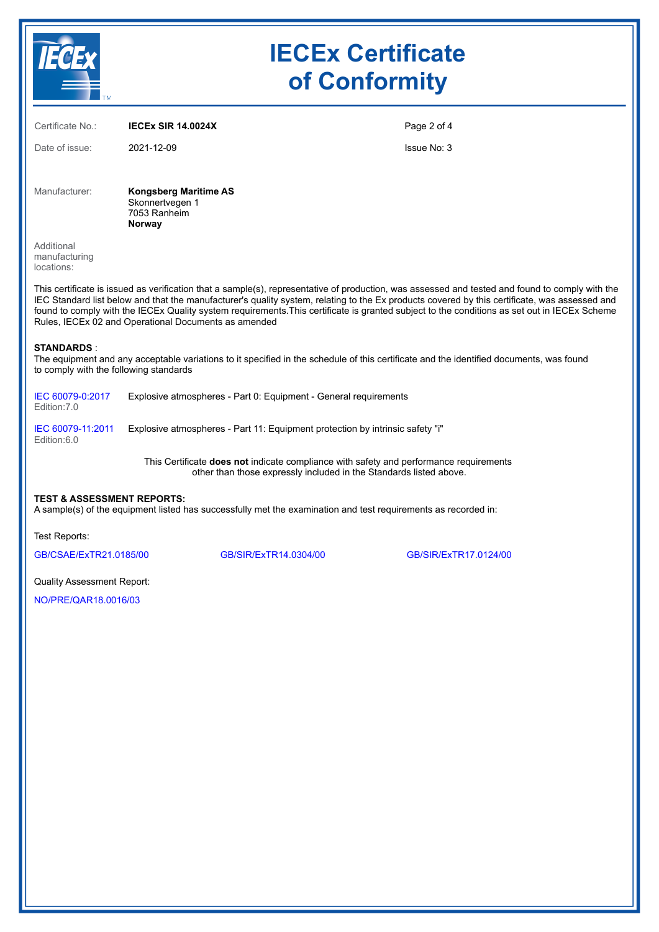|                                                                                                                                                                                                                                                                                                                                                                                                                                                                                                          | <b>IECEx Certificate</b><br>of Conformity                                 |                                                                                                                                                              |  |  |  |
|----------------------------------------------------------------------------------------------------------------------------------------------------------------------------------------------------------------------------------------------------------------------------------------------------------------------------------------------------------------------------------------------------------------------------------------------------------------------------------------------------------|---------------------------------------------------------------------------|--------------------------------------------------------------------------------------------------------------------------------------------------------------|--|--|--|
| Certificate No.:                                                                                                                                                                                                                                                                                                                                                                                                                                                                                         | <b>IECEX SIR 14.0024X</b>                                                 | Page 2 of 4                                                                                                                                                  |  |  |  |
| Date of issue:                                                                                                                                                                                                                                                                                                                                                                                                                                                                                           | 2021-12-09                                                                | Issue No: 3                                                                                                                                                  |  |  |  |
| Manufacturer:                                                                                                                                                                                                                                                                                                                                                                                                                                                                                            | <b>Kongsberg Maritime AS</b><br>Skonnertvegen 1<br>7053 Ranheim<br>Norway |                                                                                                                                                              |  |  |  |
| Additional<br>manufacturing<br>locations:                                                                                                                                                                                                                                                                                                                                                                                                                                                                |                                                                           |                                                                                                                                                              |  |  |  |
| This certificate is issued as verification that a sample(s), representative of production, was assessed and tested and found to comply with the<br>IEC Standard list below and that the manufacturer's quality system, relating to the Ex products covered by this certificate, was assessed and<br>found to comply with the IECEx Quality system requirements. This certificate is granted subject to the conditions as set out in IECEx Scheme<br>Rules, IECEx 02 and Operational Documents as amended |                                                                           |                                                                                                                                                              |  |  |  |
| <b>STANDARDS:</b><br>The equipment and any acceptable variations to it specified in the schedule of this certificate and the identified documents, was found<br>to comply with the following standards                                                                                                                                                                                                                                                                                                   |                                                                           |                                                                                                                                                              |  |  |  |
| IEC 60079-0:2017<br>Edition: 7.0                                                                                                                                                                                                                                                                                                                                                                                                                                                                         |                                                                           | Explosive atmospheres - Part 0: Equipment - General requirements                                                                                             |  |  |  |
| IEC 60079-11:2011<br>Edition:6.0                                                                                                                                                                                                                                                                                                                                                                                                                                                                         |                                                                           | Explosive atmospheres - Part 11: Equipment protection by intrinsic safety "i"                                                                                |  |  |  |
|                                                                                                                                                                                                                                                                                                                                                                                                                                                                                                          |                                                                           | This Certificate does not indicate compliance with safety and performance requirements<br>other than those expressly included in the Standards listed above. |  |  |  |
| <b>TEST &amp; ASSESSMENT REPORTS:</b><br>A sample(s) of the equipment listed has successfully met the examination and test requirements as recorded in:                                                                                                                                                                                                                                                                                                                                                  |                                                                           |                                                                                                                                                              |  |  |  |

Test Reports:

[GB/CSAE/ExTR21.0185/00](https://www.iecex-certs.com/#/deliverables/REPORT/79936/view) [GB/SIR/ExTR14.0304/00](https://www.iecex-certs.com/#/deliverables/REPORT/26217/view) [GB/SIR/ExTR17.0124/00](https://www.iecex-certs.com/#/deliverables/REPORT/27103/view)

Quality Assessment Report:

[NO/PRE/QAR18.0016/03](https://www.iecex-certs.com/#/deliverables/REPORT/77775/view)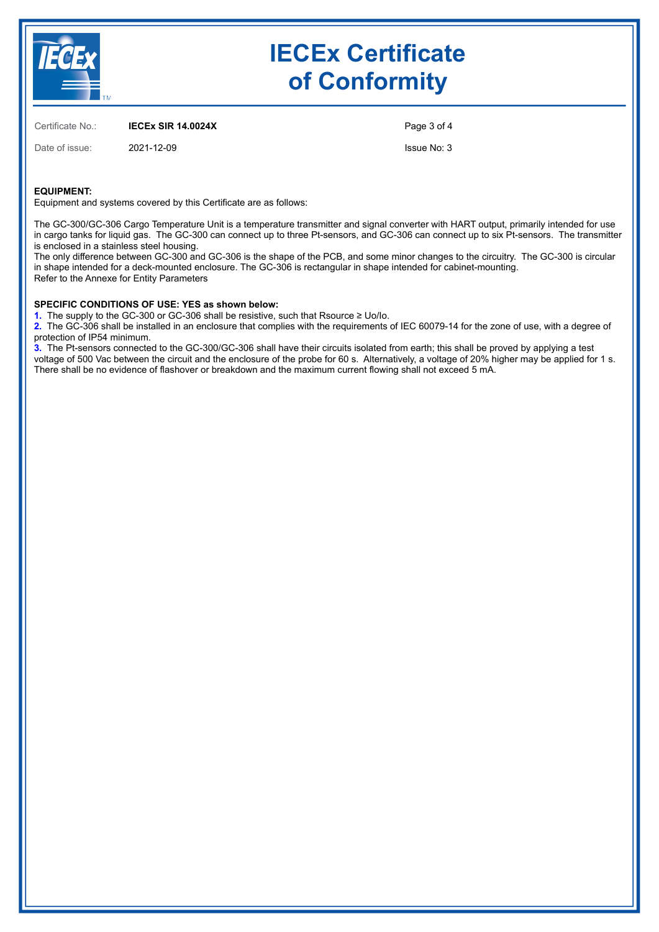

## **IECEx Certificate of Conformity**

Certificate No.: **IECEx SIR 14.0024X**

Date of issue: 2021-12-09

Page 3 of 4

Issue No: 3

### **EQUIPMENT:**

Equipment and systems covered by this Certificate are as follows:

The GC-300/GC-306 Cargo Temperature Unit is a temperature transmitter and signal converter with HART output, primarily intended for use in cargo tanks for liquid gas. The GC-300 can connect up to three Pt-sensors, and GC-306 can connect up to six Pt-sensors. The transmitter is enclosed in a stainless steel housing.

The only difference between GC-300 and GC-306 is the shape of the PCB, and some minor changes to the circuitry. The GC-300 is circular in shape intended for a deck-mounted enclosure. The GC-306 is rectangular in shape intended for cabinet-mounting. Refer to the Annexe for Entity Parameters

#### **SPECIFIC CONDITIONS OF USE: YES as shown below:**

**1.**  The supply to the GC-300 or GC-306 shall be resistive, such that Rsource ≥ Uo/Io.

**2.**  The GC-306 shall be installed in an enclosure that complies with the requirements of IEC 60079-14 for the zone of use, with a degree of protection of IP54 minimum.

**3.**  The Pt-sensors connected to the GC-300/GC-306 shall have their circuits isolated from earth; this shall be proved by applying a test voltage of 500 Vac between the circuit and the enclosure of the probe for 60 s. Alternatively, a voltage of 20% higher may be applied for 1 s. There shall be no evidence of flashover or breakdown and the maximum current flowing shall not exceed 5 mA.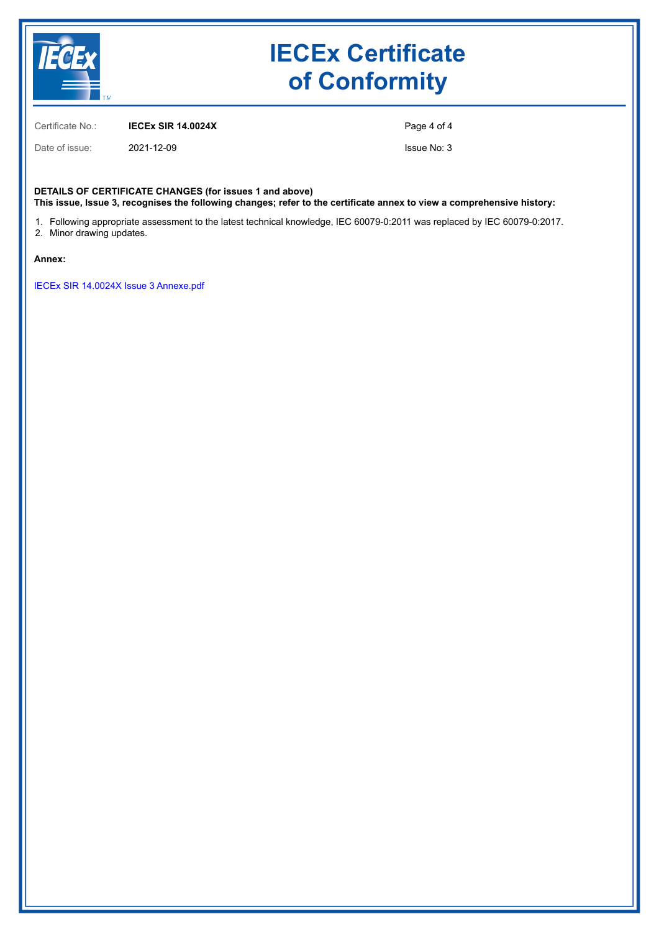

# **IECEx Certificate of Conformity**

Certificate No.: **IECEx SIR 14.0024X**

Date of issue: 2021-12-09

Page 4 of 4

Issue No: 3

**DETAILS OF CERTIFICATE CHANGES (for issues 1 and above) This issue, Issue 3, recognises the following changes; refer to the certificate annex to view a comprehensive history:**

1. Following appropriate assessment to the latest technical knowledge, IEC 60079-0:2011 was replaced by IEC 60079-0:2017. 2. Minor drawing updates.

#### **Annex:**

[IECEx SIR 14.0024X Issue 3 Annexe.pdf](https://www.iecex-certs.com/#/deliverables/CERT/58456/view)